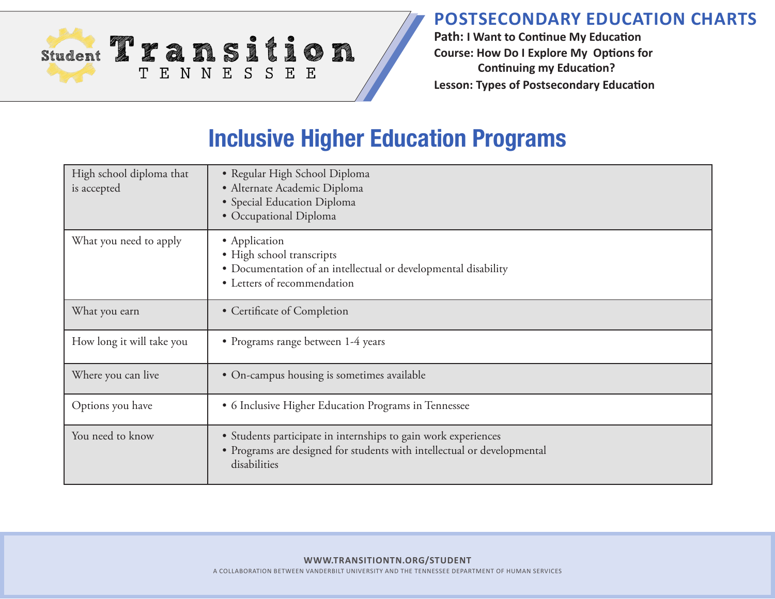

**Path: I Want to Continue My Education Course: How Do I Explore My Options for Continuing my Education? Lesson: Types of Postsecondary Education**

## **Inclusive Higher Education Programs**

| High school diploma that<br>is accepted | • Regular High School Diploma<br>· Alternate Academic Diploma<br>· Special Education Diploma<br>• Occupational Diploma                                    |
|-----------------------------------------|-----------------------------------------------------------------------------------------------------------------------------------------------------------|
| What you need to apply                  | • Application<br>· High school transcripts<br>• Documentation of an intellectual or developmental disability<br>• Letters of recommendation               |
| What you earn                           | • Certificate of Completion                                                                                                                               |
| How long it will take you               | • Programs range between 1-4 years                                                                                                                        |
| Where you can live                      | • On-campus housing is sometimes available                                                                                                                |
| Options you have                        | • 6 Inclusive Higher Education Programs in Tennessee                                                                                                      |
| You need to know                        | • Students participate in internships to gain work experiences<br>• Programs are designed for students with intellectual or developmental<br>disabilities |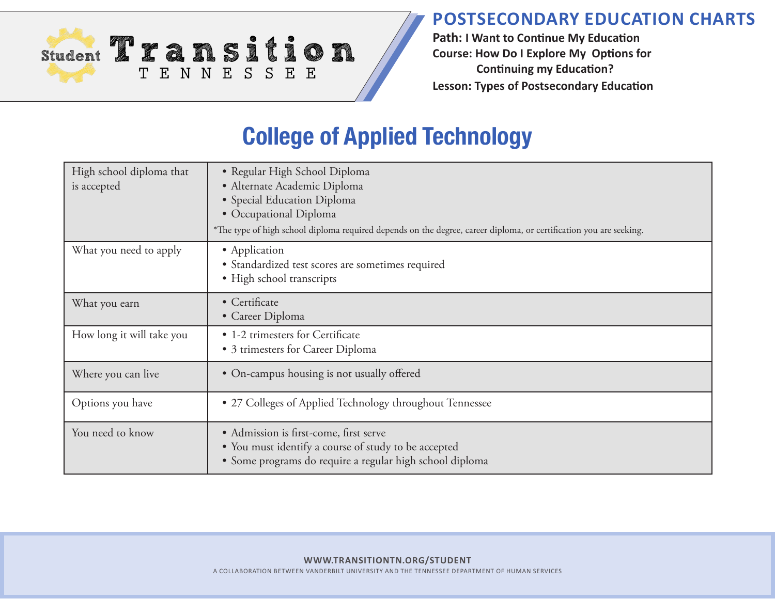**Path: I Want to Continue My Education Course: How Do I Explore My Options for Continuing my Education? Lesson: Types of Postsecondary Education**

# **College of Applied Technology**

Student 2 x a n sition

TENNESSEE

| High school diploma that<br>is accepted | • Regular High School Diploma<br>· Alternate Academic Diploma<br>• Special Education Diploma<br>· Occupational Diploma<br>*The type of high school diploma required depends on the degree, career diploma, or certification you are seeking. |
|-----------------------------------------|----------------------------------------------------------------------------------------------------------------------------------------------------------------------------------------------------------------------------------------------|
| What you need to apply                  | • Application<br>• Standardized test scores are sometimes required<br>• High school transcripts                                                                                                                                              |
| What you earn                           | • Certificate<br>• Career Diploma                                                                                                                                                                                                            |
| How long it will take you               | • 1-2 trimesters for Certificate<br>• 3 trimesters for Career Diploma                                                                                                                                                                        |
| Where you can live                      | • On-campus housing is not usually offered                                                                                                                                                                                                   |
| Options you have                        | • 27 Colleges of Applied Technology throughout Tennessee                                                                                                                                                                                     |
| You need to know                        | • Admission is first-come, first serve<br>• You must identify a course of study to be accepted<br>• Some programs do require a regular high school diploma                                                                                   |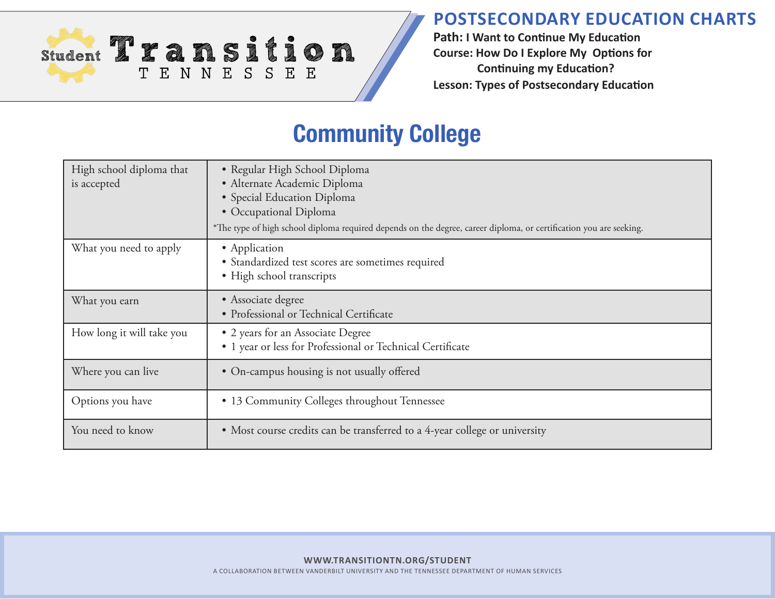

**Path: I Want to Continue My Education Course: How Do I Explore My Options for Continuing my Education? Lesson: Types of Postsecondary Education**

## **Community College**

| High school diploma that<br>is accepted | • Regular High School Diploma<br>· Alternate Academic Diploma<br>• Special Education Diploma<br>• Occupational Diploma<br>*The type of high school diploma required depends on the degree, career diploma, or certification you are seeking. |
|-----------------------------------------|----------------------------------------------------------------------------------------------------------------------------------------------------------------------------------------------------------------------------------------------|
| What you need to apply                  | • Application<br>• Standardized test scores are sometimes required<br>· High school transcripts                                                                                                                                              |
| What you earn                           | • Associate degree<br>• Professional or Technical Certificate                                                                                                                                                                                |
| How long it will take you               | • 2 years for an Associate Degree<br>• 1 year or less for Professional or Technical Certificate                                                                                                                                              |
| Where you can live                      | • On-campus housing is not usually offered                                                                                                                                                                                                   |
| Options you have                        | • 13 Community Colleges throughout Tennessee                                                                                                                                                                                                 |
| You need to know                        | • Most course credits can be transferred to a 4-year college or university                                                                                                                                                                   |